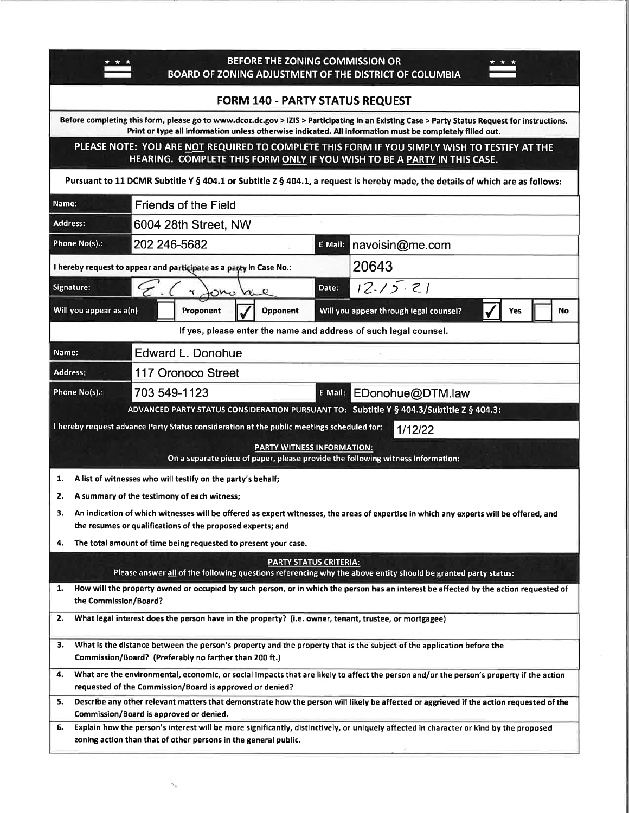| BEFORE THE ZONING COMMISSION OR<br>BOARD OF ZONING ADJUSTMENT OF THE DISTRICT OF COLUMBIA                                                                                                                                                                 |
|-----------------------------------------------------------------------------------------------------------------------------------------------------------------------------------------------------------------------------------------------------------|
| <b>FORM 140 - PARTY STATUS REQUEST</b>                                                                                                                                                                                                                    |
| Before completing this form, please go to www.dcoz.dc.gov > IZIS > Participating in an Existing Case > Party Status Request for instructions.<br>Print or type all information unless otherwise indicated. All information must be completely filled out. |
| PLEASE NOTE: YOU ARE NOT REQUIRED TO COMPLETE THIS FORM IF YOU SIMPLY WISH TO TESTIFY AT THE                                                                                                                                                              |
| HEARING. COMPLETE THIS FORM ONLY IF YOU WISH TO BE A PARTY IN THIS CASE.                                                                                                                                                                                  |
| Pursuant to 11 DCMR Subtitle Y § 404.1 or Subtitle Z § 404.1, a request is hereby made, the details of which are as follows:                                                                                                                              |
| <b>Friends of the Field</b><br>Name:                                                                                                                                                                                                                      |
| <b>Address:</b><br>6004 28th Street, NW                                                                                                                                                                                                                   |
| Phone No(s).:<br>202 246-5682<br>navoisin@me.com<br>E Mail:                                                                                                                                                                                               |
| 20643<br>I hereby request to appear and participate as a party in Case No.:                                                                                                                                                                               |
| 12.15.21<br>Signature:<br>Date:<br>KOMO<br>n.                                                                                                                                                                                                             |
| Will you appear as a(n)<br>Proponent<br>Opponent<br>Will you appear through legal counsel?<br>No<br>Yes                                                                                                                                                   |
| If yes, please enter the name and address of such legal counsel.                                                                                                                                                                                          |
| Edward L. Donohue<br>Name:                                                                                                                                                                                                                                |
| <b>Address:</b><br>117 Oronoco Street                                                                                                                                                                                                                     |
| 703 549-1123<br>Phone No(s).:<br>E Mail: EDonohue@DTM.law                                                                                                                                                                                                 |
| ADVANCED PARTY STATUS CONSIDERATION PURSUANT TO: Subtitle Y § 404.3/Subtitle Z § 404.3:                                                                                                                                                                   |
| I hereby request advance Party Status consideration at the public meetings scheduled for:<br>1/12/22                                                                                                                                                      |
| <b>PARTY WITNESS INFORMATION:</b><br>On a separate piece of paper, please provide the following witness information:                                                                                                                                      |
| A list of witnesses who will testify on the party's behalf;<br>1.                                                                                                                                                                                         |
| 2.<br>A summary of the testimony of each witness;                                                                                                                                                                                                         |
| З.<br>An indication of which witnesses will be offered as expert witnesses, the areas of expertise in which any experts will be offered, and<br>the resumes or qualifications of the proposed experts; and                                                |
| The total amount of time being requested to present your case.<br>4.                                                                                                                                                                                      |
| PARTY STATUS CRITERIA:                                                                                                                                                                                                                                    |
| Please answer all of the following questions referencing why the above entity should be granted party status:                                                                                                                                             |
| How will the property owned or occupied by such person, or in which the person has an interest be affected by the action requested of<br>1.<br>the Commission/Board?                                                                                      |
| What legal interest does the person have in the property? (i.e. owner, tenant, trustee, or mortgagee)<br>2.                                                                                                                                               |
| 3.<br>What is the distance between the person's property and the property that is the subject of the application before the<br>Commission/Board? (Preferably no farther than 200 ft.)                                                                     |
| What are the environmental, economic, or social impacts that are likely to affect the person and/or the person's property if the action<br>4.<br>requested of the Commission/Board is approved or denied?                                                 |
| Describe any other relevant matters that demonstrate how the person will likely be affected or aggrieved if the action requested of the<br>5.<br>Commission/Board is approved or denied.                                                                  |
| Explain how the person's interest will be more significantly, distinctively, or uniquely affected in character or kind by the proposed<br>6.<br>zoning action than that of other persons in the general public.                                           |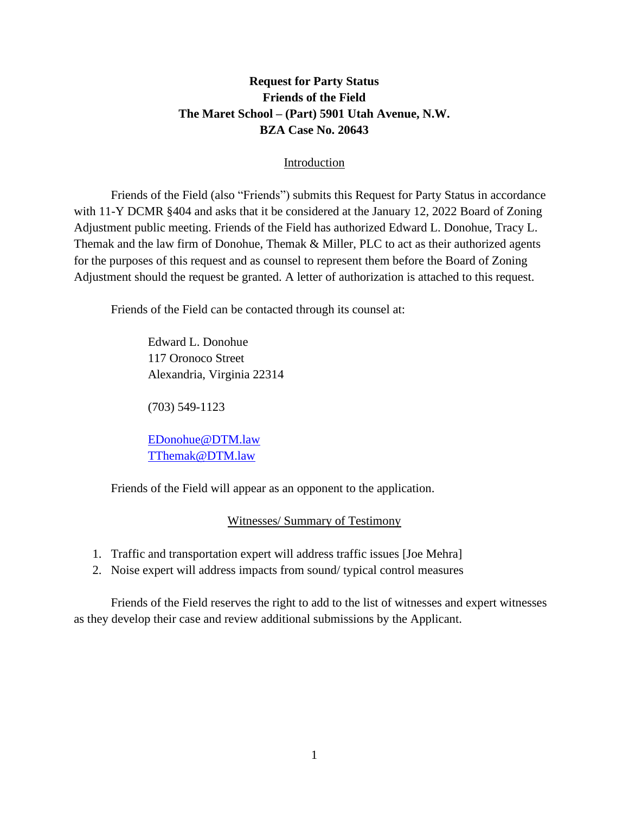# **Request for Party Status Friends of the Field The Maret School – (Part) 5901 Utah Avenue, N.W. BZA Case No. 20643**

## Introduction

Friends of the Field (also "Friends") submits this Request for Party Status in accordance with 11-Y DCMR §404 and asks that it be considered at the January 12, 2022 Board of Zoning Adjustment public meeting. Friends of the Field has authorized Edward L. Donohue, Tracy L. Themak and the law firm of Donohue, Themak & Miller, PLC to act as their authorized agents for the purposes of this request and as counsel to represent them before the Board of Zoning Adjustment should the request be granted. A letter of authorization is attached to this request.

Friends of the Field can be contacted through its counsel at:

Edward L. Donohue 117 Oronoco Street Alexandria, Virginia 22314

(703) 549-1123

[EDonohue@DTM.law](mailto:EDonohue@DTM.law) [TThemak@DTM.law](mailto:TThemak@DTM.law)

Friends of the Field will appear as an opponent to the application.

## Witnesses/ Summary of Testimony

- 1. Traffic and transportation expert will address traffic issues [Joe Mehra]
- 2. Noise expert will address impacts from sound/ typical control measures

Friends of the Field reserves the right to add to the list of witnesses and expert witnesses as they develop their case and review additional submissions by the Applicant.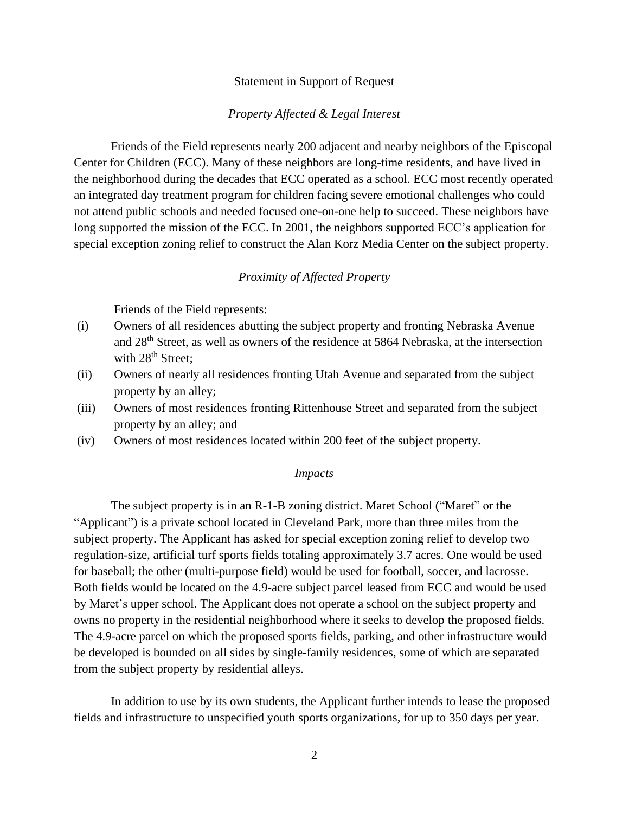### Statement in Support of Request

### *Property Affected & Legal Interest*

Friends of the Field represents nearly 200 adjacent and nearby neighbors of the Episcopal Center for Children (ECC). Many of these neighbors are long-time residents, and have lived in the neighborhood during the decades that ECC operated as a school. ECC most recently operated an integrated day treatment program for children facing severe emotional challenges who could not attend public schools and needed focused one-on-one help to succeed. These neighbors have long supported the mission of the ECC. In 2001, the neighbors supported ECC's application for special exception zoning relief to construct the Alan Korz Media Center on the subject property.

### *Proximity of Affected Property*

Friends of the Field represents:

- (i) Owners of all residences abutting the subject property and fronting Nebraska Avenue and 28th Street, as well as owners of the residence at 5864 Nebraska, at the intersection with 28<sup>th</sup> Street;
- (ii) Owners of nearly all residences fronting Utah Avenue and separated from the subject property by an alley;
- (iii) Owners of most residences fronting Rittenhouse Street and separated from the subject property by an alley; and
- (iv) Owners of most residences located within 200 feet of the subject property.

### *Impacts*

The subject property is in an R-1-B zoning district. Maret School ("Maret" or the "Applicant") is a private school located in Cleveland Park, more than three miles from the subject property. The Applicant has asked for special exception zoning relief to develop two regulation-size, artificial turf sports fields totaling approximately 3.7 acres. One would be used for baseball; the other (multi-purpose field) would be used for football, soccer, and lacrosse. Both fields would be located on the 4.9-acre subject parcel leased from ECC and would be used by Maret's upper school. The Applicant does not operate a school on the subject property and owns no property in the residential neighborhood where it seeks to develop the proposed fields. The 4.9-acre parcel on which the proposed sports fields, parking, and other infrastructure would be developed is bounded on all sides by single-family residences, some of which are separated from the subject property by residential alleys.

In addition to use by its own students, the Applicant further intends to lease the proposed fields and infrastructure to unspecified youth sports organizations, for up to 350 days per year.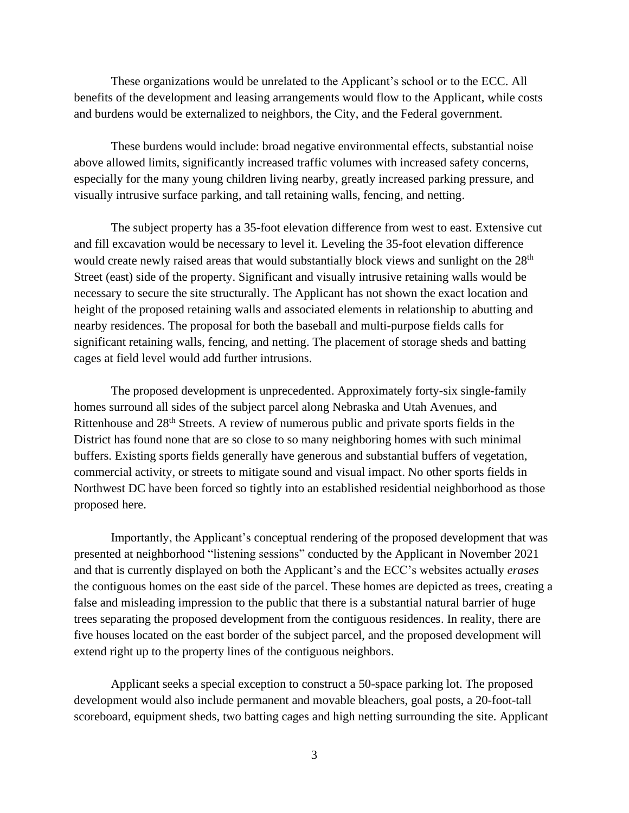These organizations would be unrelated to the Applicant's school or to the ECC. All benefits of the development and leasing arrangements would flow to the Applicant, while costs and burdens would be externalized to neighbors, the City, and the Federal government.

These burdens would include: broad negative environmental effects, substantial noise above allowed limits, significantly increased traffic volumes with increased safety concerns, especially for the many young children living nearby, greatly increased parking pressure, and visually intrusive surface parking, and tall retaining walls, fencing, and netting.

The subject property has a 35-foot elevation difference from west to east. Extensive cut and fill excavation would be necessary to level it. Leveling the 35-foot elevation difference would create newly raised areas that would substantially block views and sunlight on the 28<sup>th</sup> Street (east) side of the property. Significant and visually intrusive retaining walls would be necessary to secure the site structurally. The Applicant has not shown the exact location and height of the proposed retaining walls and associated elements in relationship to abutting and nearby residences. The proposal for both the baseball and multi-purpose fields calls for significant retaining walls, fencing, and netting. The placement of storage sheds and batting cages at field level would add further intrusions.

The proposed development is unprecedented. Approximately forty-six single-family homes surround all sides of the subject parcel along Nebraska and Utah Avenues, and Rittenhouse and 28th Streets. A review of numerous public and private sports fields in the District has found none that are so close to so many neighboring homes with such minimal buffers. Existing sports fields generally have generous and substantial buffers of vegetation, commercial activity, or streets to mitigate sound and visual impact. No other sports fields in Northwest DC have been forced so tightly into an established residential neighborhood as those proposed here.

Importantly, the Applicant's conceptual rendering of the proposed development that was presented at neighborhood "listening sessions" conducted by the Applicant in November 2021 and that is currently displayed on both the Applicant's and the ECC's websites actually *erases* the contiguous homes on the east side of the parcel. These homes are depicted as trees, creating a false and misleading impression to the public that there is a substantial natural barrier of huge trees separating the proposed development from the contiguous residences. In reality, there are five houses located on the east border of the subject parcel, and the proposed development will extend right up to the property lines of the contiguous neighbors.

Applicant seeks a special exception to construct a 50-space parking lot. The proposed development would also include permanent and movable bleachers, goal posts, a 20-foot-tall scoreboard, equipment sheds, two batting cages and high netting surrounding the site. Applicant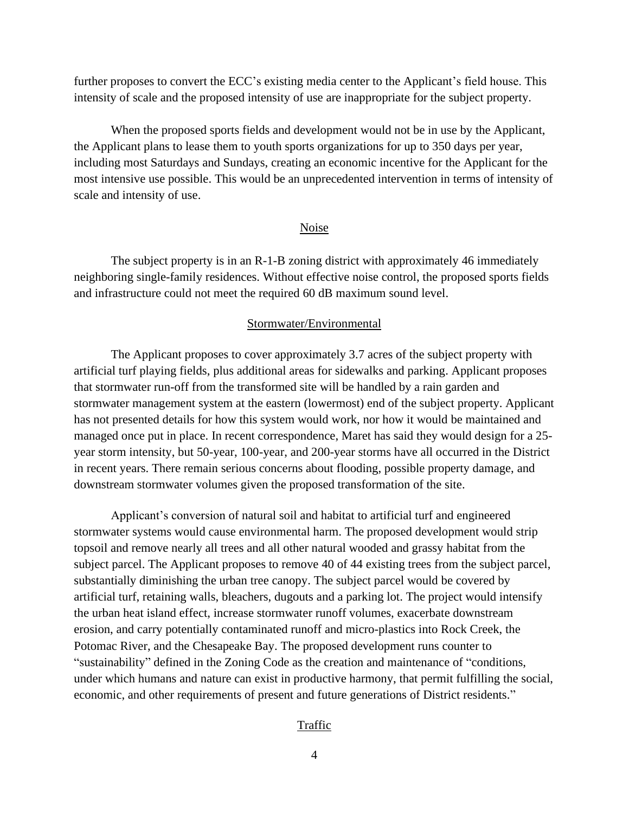further proposes to convert the ECC's existing media center to the Applicant's field house. This intensity of scale and the proposed intensity of use are inappropriate for the subject property.

When the proposed sports fields and development would not be in use by the Applicant, the Applicant plans to lease them to youth sports organizations for up to 350 days per year, including most Saturdays and Sundays, creating an economic incentive for the Applicant for the most intensive use possible. This would be an unprecedented intervention in terms of intensity of scale and intensity of use.

#### Noise

The subject property is in an R-1-B zoning district with approximately 46 immediately neighboring single-family residences. Without effective noise control, the proposed sports fields and infrastructure could not meet the required 60 dB maximum sound level.

### Stormwater/Environmental

The Applicant proposes to cover approximately 3.7 acres of the subject property with artificial turf playing fields, plus additional areas for sidewalks and parking. Applicant proposes that stormwater run-off from the transformed site will be handled by a rain garden and stormwater management system at the eastern (lowermost) end of the subject property. Applicant has not presented details for how this system would work, nor how it would be maintained and managed once put in place. In recent correspondence, Maret has said they would design for a 25 year storm intensity, but 50-year, 100-year, and 200-year storms have all occurred in the District in recent years. There remain serious concerns about flooding, possible property damage, and downstream stormwater volumes given the proposed transformation of the site.

Applicant's conversion of natural soil and habitat to artificial turf and engineered stormwater systems would cause environmental harm. The proposed development would strip topsoil and remove nearly all trees and all other natural wooded and grassy habitat from the subject parcel. The Applicant proposes to remove 40 of 44 existing trees from the subject parcel, substantially diminishing the urban tree canopy. The subject parcel would be covered by artificial turf, retaining walls, bleachers, dugouts and a parking lot. The project would intensify the urban heat island effect, increase stormwater runoff volumes, exacerbate downstream erosion, and carry potentially contaminated runoff and micro-plastics into Rock Creek, the Potomac River, and the Chesapeake Bay. The proposed development runs counter to "sustainability" defined in the Zoning Code as the creation and maintenance of "conditions, under which humans and nature can exist in productive harmony, that permit fulfilling the social, economic, and other requirements of present and future generations of District residents."

#### Traffic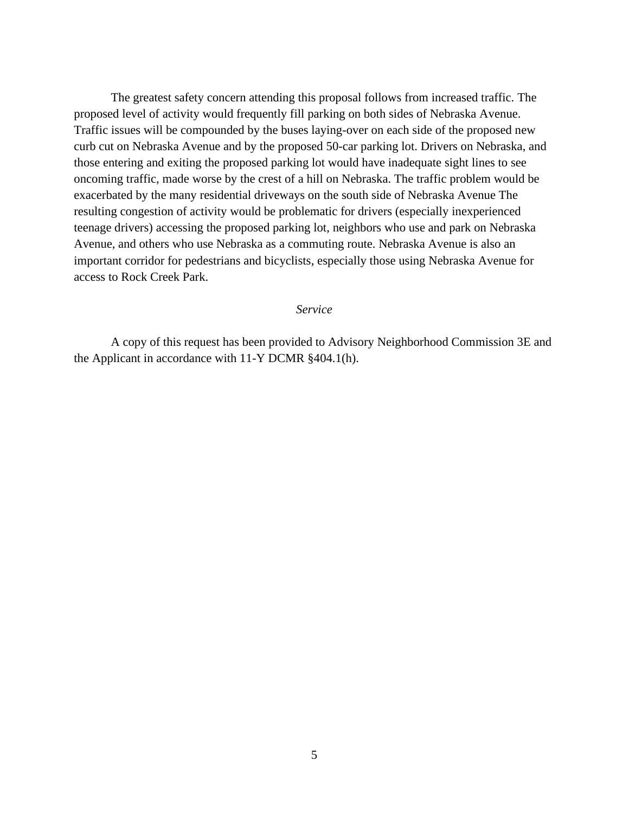The greatest safety concern attending this proposal follows from increased traffic. The proposed level of activity would frequently fill parking on both sides of Nebraska Avenue. Traffic issues will be compounded by the buses laying-over on each side of the proposed new curb cut on Nebraska Avenue and by the proposed 50-car parking lot. Drivers on Nebraska, and those entering and exiting the proposed parking lot would have inadequate sight lines to see oncoming traffic, made worse by the crest of a hill on Nebraska. The traffic problem would be exacerbated by the many residential driveways on the south side of Nebraska Avenue The resulting congestion of activity would be problematic for drivers (especially inexperienced teenage drivers) accessing the proposed parking lot, neighbors who use and park on Nebraska Avenue, and others who use Nebraska as a commuting route. Nebraska Avenue is also an important corridor for pedestrians and bicyclists, especially those using Nebraska Avenue for access to Rock Creek Park.

#### *Service*

A copy of this request has been provided to Advisory Neighborhood Commission 3E and the Applicant in accordance with 11-Y DCMR §404.1(h).